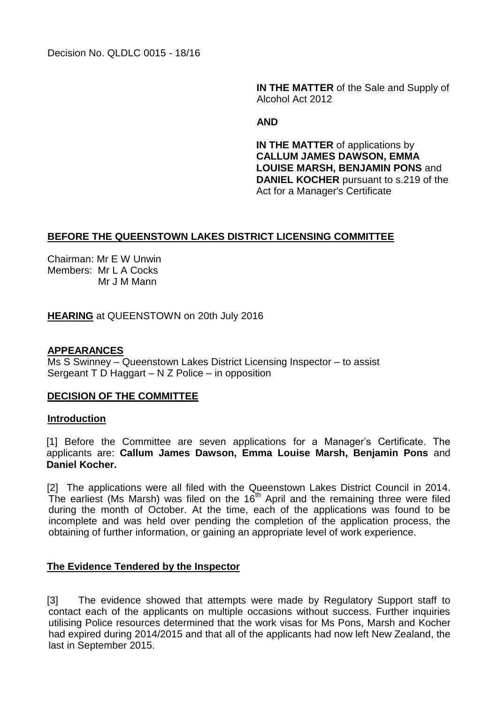**IN THE MATTER** of the Sale and Supply of Alcohol Act 2012

#### **AND**

**IN THE MATTER** of applications by **CALLUM JAMES DAWSON, EMMA LOUISE MARSH, BENJAMIN PONS** and **DANIEL KOCHER** pursuant to s.219 of the Act for a Manager's Certificate

# **BEFORE THE QUEENSTOWN LAKES DISTRICT LICENSING COMMITTEE**

Chairman: Mr E W Unwin Members: Mr L A Cocks Mr J M Mann

**HEARING** at QUEENSTOWN on 20th July 2016

### **APPEARANCES**

Ms S Swinney – Queenstown Lakes District Licensing Inspector – to assist Sergeant T D Haggart – N Z Police – in opposition

### **DECISION OF THE COMMITTEE**

### **Introduction**

[1] Before the Committee are seven applications for a Manager's Certificate. The applicants are: **Callum James Dawson, Emma Louise Marsh, Benjamin Pons** and **Daniel Kocher.**

[2] The applications were all filed with the Queenstown Lakes District Council in 2014. The earliest (Ms Marsh) was filed on the  $16<sup>th</sup>$  April and the remaining three were filed during the month of October. At the time, each of the applications was found to be incomplete and was held over pending the completion of the application process, the obtaining of further information, or gaining an appropriate level of work experience.

### **The Evidence Tendered by the Inspector**

[3] The evidence showed that attempts were made by Regulatory Support staff to contact each of the applicants on multiple occasions without success. Further inquiries utilising Police resources determined that the work visas for Ms Pons, Marsh and Kocher had expired during 2014/2015 and that all of the applicants had now left New Zealand, the last in September 2015.